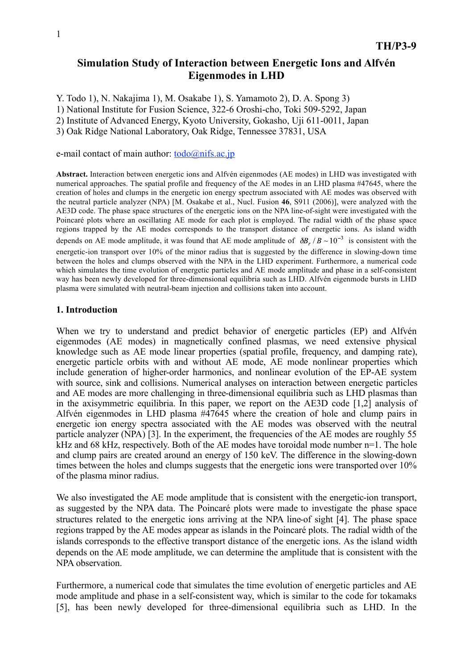# **Simulation Study of Interaction between Energetic Ions and Alfvén Eigenmodes in LHD**

Y. Todo 1), N. Nakajima 1), M. Osakabe 1), S. Yamamoto 2), D. A. Spong 3)

1) National Institute for Fusion Science, 322-6 Oroshi-cho, Toki 509-5292, Japan

2) Institute of Advanced Energy, Kyoto University, Gokasho, Uji 611-0011, Japan

3) Oak Ridge National Laboratory, Oak Ridge, Tennessee 37831, USA

e-mail contact of main author:  $\text{todo}(\widehat{\mathcal{Q}})$ nifs.ac.jp

**Abstract.** Interaction between energetic ions and Alfvén eigenmodes (AE modes) in LHD was investigated with numerical approaches. The spatial profile and frequency of the AE modes in an LHD plasma #47645, where the creation of holes and clumps in the energetic ion energy spectrum associated with AE modes was observed with the neutral particle analyzer (NPA) [M. Osakabe et al., Nucl. Fusion **46**, S911 (2006)], were analyzed with the AE3D code. The phase space structures of the energetic ions on the NPA line-of-sight were investigated with the Poincaré plots where an oscillating AE mode for each plot is employed. The radial width of the phase space regions trapped by the AE modes corresponds to the transport distance of energetic ions. As island width depends on AE mode amplitude, it was found that AE mode amplitude of  $\delta B_z/B \sim 10^{-3}$  is consistent with the energetic-ion transport over 10% of the minor radius that is suggested by the difference in slowing-down time between the holes and clumps observed with the NPA in the LHD experiment. Furthermore, a numerical code which simulates the time evolution of energetic particles and AE mode amplitude and phase in a self-consistent way has been newly developed for three-dimensional equilibria such as LHD. Alfvén eigenmode bursts in LHD plasma were simulated with neutral-beam injection and collisions taken into account.

### **1. Introduction**

When we try to understand and predict behavior of energetic particles (EP) and Alfvén eigenmodes (AE modes) in magnetically confined plasmas, we need extensive physical knowledge such as AE mode linear properties (spatial profile, frequency, and damping rate), energetic particle orbits with and without AE mode, AE mode nonlinear properties which include generation of higher-order harmonics, and nonlinear evolution of the EP-AE system with source, sink and collisions. Numerical analyses on interaction between energetic particles and AE modes are more challenging in three-dimensional equilibria such as LHD plasmas than in the axisymmetric equilibria. In this paper, we report on the AE3D code [1,2] analysis of Alfvén eigenmodes in LHD plasma #47645 where the creation of hole and clump pairs in energetic ion energy spectra associated with the AE modes was observed with the neutral particle analyzer (NPA) [3]. In the experiment, the frequencies of the AE modes are roughly 55 kHz and 68 kHz, respectively. Both of the AE modes have toroidal mode number n=1. The hole and clump pairs are created around an energy of 150 keV. The difference in the slowing-down times between the holes and clumps suggests that the energetic ions were transported over 10% of the plasma minor radius.

We also investigated the AE mode amplitude that is consistent with the energetic-ion transport, as suggested by the NPA data. The Poincaré plots were made to investigate the phase space structures related to the energetic ions arriving at the NPA line-of sight [4]. The phase space regions trapped by the AE modes appear as islands in the Poincaré plots. The radial width of the islands corresponds to the effective transport distance of the energetic ions. As the island width depends on the AE mode amplitude, we can determine the amplitude that is consistent with the NPA observation.

Furthermore, a numerical code that simulates the time evolution of energetic particles and AE mode amplitude and phase in a self-consistent way, which is similar to the code for tokamaks [5], has been newly developed for three-dimensional equilibria such as LHD. In the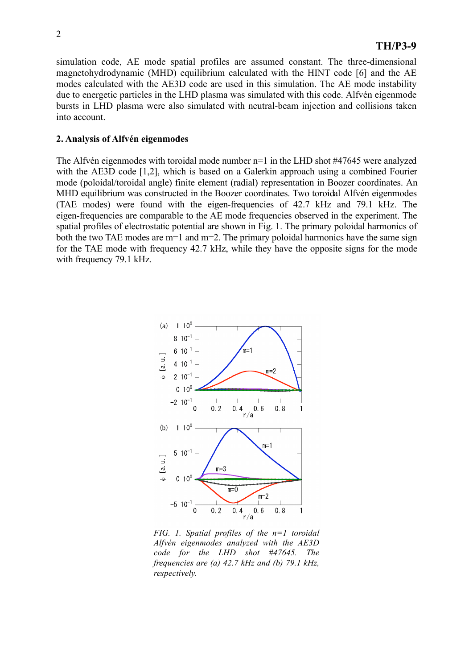simulation code, AE mode spatial profiles are assumed constant. The three-dimensional magnetohydrodynamic (MHD) equilibrium calculated with the HINT code [6] and the AE modes calculated with the AE3D code are used in this simulation. The AE mode instability due to energetic particles in the LHD plasma was simulated with this code. Alfvén eigenmode bursts in LHD plasma were also simulated with neutral-beam injection and collisions taken into account.

#### **2. Analysis of Alfvén eigenmodes**

The Alfvén eigenmodes with toroidal mode number n=1 in the LHD shot #47645 were analyzed with the AE3D code [1,2], which is based on a Galerkin approach using a combined Fourier mode (poloidal/toroidal angle) finite element (radial) representation in Boozer coordinates. An MHD equilibrium was constructed in the Boozer coordinates. Two toroidal Alfvén eigenmodes (TAE modes) were found with the eigen-frequencies of 42.7 kHz and 79.1 kHz. The eigen-frequencies are comparable to the AE mode frequencies observed in the experiment. The spatial profiles of electrostatic potential are shown in Fig. 1. The primary poloidal harmonics of both the two TAE modes are m=1 and m=2. The primary poloidal harmonics have the same sign for the TAE mode with frequency 42.7 kHz, while they have the opposite signs for the mode with frequency 79.1 kHz.



*FIG. 1. Spatial profiles of the n=1 toroidal Alfvén eigenmodes analyzed with the AE3D code for the LHD shot #47645. The frequencies are (a) 42.7 kHz and (b) 79.1 kHz, respectively.*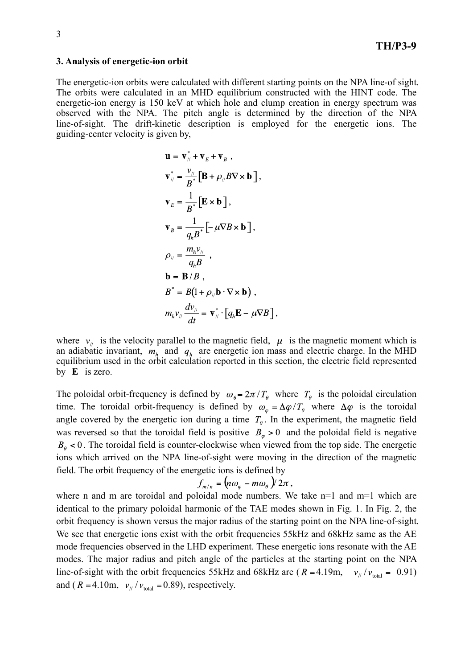#### **3. Analysis of energetic-ion orbit**

The energetic-ion orbits were calculated with different starting points on the NPA line-of sight. The orbits were calculated in an MHD equilibrium constructed with the HINT code. The energetic-ion energy is 150 keV at which hole and clump creation in energy spectrum was observed with the NPA. The pitch angle is determined by the direction of the NPA line-of-sight. The drift-kinetic description is employed for the energetic ions. The guiding-center velocity is given by,

$$
\mathbf{u} = \mathbf{v}_{\parallel}^* + \mathbf{v}_E + \mathbf{v}_B ,
$$
  
\n
$$
\mathbf{v}_{\parallel}^* = \frac{\mathbf{v}_{\parallel}}{B^*} [\mathbf{B} + \rho_{\parallel} B \nabla \times \mathbf{b} ],
$$
  
\n
$$
\mathbf{v}_E = \frac{1}{B^*} [\mathbf{E} \times \mathbf{b} ],
$$
  
\n
$$
\mathbf{v}_B = \frac{1}{q_h B^*} [-\mu \nabla B \times \mathbf{b} ],
$$
  
\n
$$
\rho_{\parallel} = \frac{m_h v_{\parallel}}{q_h B} ,
$$
  
\n
$$
\mathbf{b} = \mathbf{B} / B ,
$$
  
\n
$$
B^* = B(1 + \rho_{\parallel} \mathbf{b} \cdot \nabla \times \mathbf{b} ),
$$
  
\n
$$
m_h v_{\parallel} \frac{d v_{\parallel}}{dt} = \mathbf{v}_{\parallel}^* \cdot [q_h \mathbf{E} - \mu \nabla B ],
$$

where  $v_{ij}$  is the velocity parallel to the magnetic field,  $\mu$  is the magnetic moment which is an adiabatic invariant,  $m_h$  and  $q_h$  are energetic ion mass and electric charge. In the MHD equilibrium used in the orbit calculation reported in this section, the electric field represented by  $E$  is zero.

The poloidal orbit-frequency is defined by  $\omega_{\theta} = 2\pi/T_{\theta}$  where  $T_{\theta}$  is the poloidal circulation time. The toroidal orbit-frequency is defined by  $\omega_{\varphi} = \Delta \varphi / T_{\theta}$  where  $\Delta \varphi$  is the toroidal angle covered by the energetic ion during a time  $T_{\theta}$ . In the experiment, the magnetic field was reversed so that the toroidal field is positive  $B_{\varphi} > 0$  and the poloidal field is negative  $B_{\theta}$  < 0. The toroidal field is counter-clockwise when viewed from the top side. The energetic ions which arrived on the NPA line-of-sight were moving in the direction of the magnetic field. The orbit frequency of the energetic ions is defined by

$$
f_{m/n} = \left( n\omega_{\varphi} - m\omega_{\theta} \right) / 2\pi ,
$$

where n and m are toroidal and poloidal mode numbers. We take n=1 and m=1 which are identical to the primary poloidal harmonic of the TAE modes shown in Fig. 1. In Fig. 2, the orbit frequency is shown versus the major radius of the starting point on the NPA line-of-sight. We see that energetic ions exist with the orbit frequencies 55kHz and 68kHz same as the AE mode frequencies observed in the LHD experiment. These energetic ions resonate with the AE modes. The major radius and pitch angle of the particles at the starting point on the NPA line-of-sight with the orbit frequencies 55kHz and 68kHz are ( $R = 4.19$ m,  $v_y/v_{\text{total}} = 0.91$ ) and ( $R = 4.10$ m,  $v_{\text{H}}/v_{\text{total}} = 0.89$ ), respectively.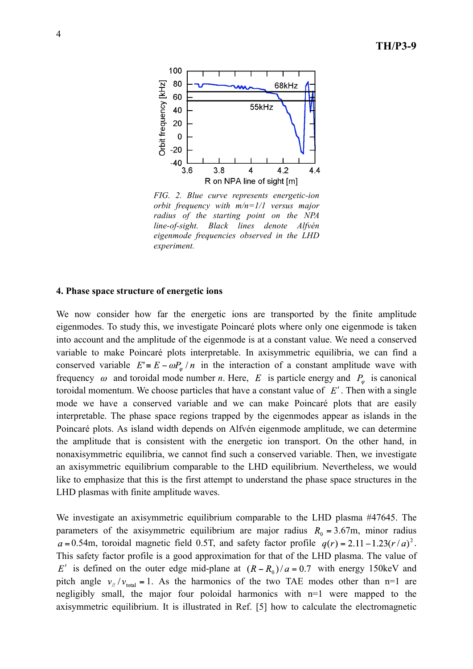

*FIG. 2. Blue curve represents energetic-ion orbit frequency with m/n=1/1 versus major radius of the starting point on the NPA line-of-sight. Black lines denote Alfvén eigenmode frequencies observed in the LHD experiment.*

#### **4. Phase space structure of energetic ions**

We now consider how far the energetic ions are transported by the finite amplitude eigenmodes. To study this, we investigate Poincaré plots where only one eigenmode is taken into account and the amplitude of the eigenmode is at a constant value. We need a conserved variable to make Poincaré plots interpretable. In axisymmetric equilibria, we can find a conserved variable  $E = E - \omega P_{\omega}/n$  in the interaction of a constant amplitude wave with frequency  $\omega$  and toroidal mode number *n*. Here, E is particle energy and  $P_{\omega}$  is canonical toroidal momentum. We choose particles that have a constant value of  $E'$ . Then with a single mode we have a conserved variable and we can make Poincaré plots that are easily interpretable. The phase space regions trapped by the eigenmodes appear as islands in the Poincaré plots. As island width depends on Alfvén eigenmode amplitude, we can determine the amplitude that is consistent with the energetic ion transport. On the other hand, in nonaxisymmetric equilibria, we cannot find such a conserved variable. Then, we investigate an axisymmetric equilibrium comparable to the LHD equilibrium. Nevertheless, we would like to emphasize that this is the first attempt to understand the phase space structures in the LHD plasmas with finite amplitude waves.

We investigate an axisymmetric equilibrium comparable to the LHD plasma #47645. The parameters of the axisymmetric equilibrium are major radius  $R_0 = 3.67$ m, minor radius  $a = 0.54$ m, toroidal magnetic field 0.5T, and safety factor profile  $q(r) = 2.11 - 1.23(r/a)^2$ . This safety factor profile is a good approximation for that of the LHD plasma. The value of E' is defined on the outer edge mid-plane at  $(R - R_0)/a = 0.7$  with energy 150keV and pitch angle  $v_y/v_{\text{total}} = 1$ . As the harmonics of the two TAE modes other than n=1 are negligibly small, the major four poloidal harmonics with n=1 were mapped to the axisymmetric equilibrium. It is illustrated in Ref. [5] how to calculate the electromagnetic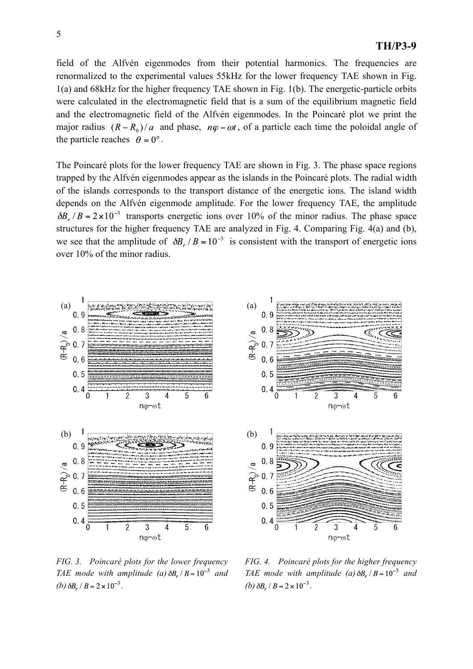field of the Alfvén eigenmodes from their potential harmonics. The frequencies are renormalized to the experimental values 55kHz for the lower frequency TAE shown in Fig. 1(a) and 68kHz for the higher frequency TAE shown in Fig. 1(b). The energetic-particle orbits were calculated in the electromagnetic field that is a sum of the equilibrium magnetic field and the electromagnetic field of the Alfvén eigenmodes. In the Poincaré plot we print the major radius  $(R - R_0)/a$  and phase,  $n\varphi - \omega t$ , of a particle each time the poloidal angle of the particle reaches  $\theta = 0^\circ$ .

The Poincaré plots for the lower frequency TAE are shown in Fig. 3. The phase space regions trapped by the Alfvén eigenmodes appear as the islands in the Poincaré plots. The radial width of the islands corresponds to the transport distance of the energetic ions. The island width depends on the Alfvén eigenmode amplitude. For the lower frequency TAE, the amplitude  $\delta B_r / B = 2 \times 10^{-3}$  transports energetic ions over 10% of the minor radius. The phase space structures for the higher frequency TAE are analyzed in Fig. 4. Comparing Fig. 4(a) and (b), we see that the amplitude of  $\delta B_r / B = 10^{-3}$  is consistent with the transport of energetic ions over 10% of the minor radius.



 $0.9$  $0.8$  $(R-R_0)/a$  $0.7$  $0.6$  $0.5$  $0.4$ Ö  $\overline{2}$ 3 4 5 ηφ-ωt  $0.9$  $0.8$  $(R-R_0)/a$  $0.7$  $0.6$  $0.5$  $0.4$ 3  $n\varphi$ - $\omega t$ 

*FIG. 3. Poincaré plots for the lower frequency TAE mode with amplitude (a)*  $\delta B_r / B = 10^{-3}$  *and (b)*  $\delta B_r / B = 2 \times 10^{-3}$ .

*FIG. 4. Poincaré plots for the higher frequency TAE mode with amplitude (a)*  $\delta B_r / B = 10^{-3}$  *and (b)*  $\delta B_r / B = 2 \times 10^{-3}$ .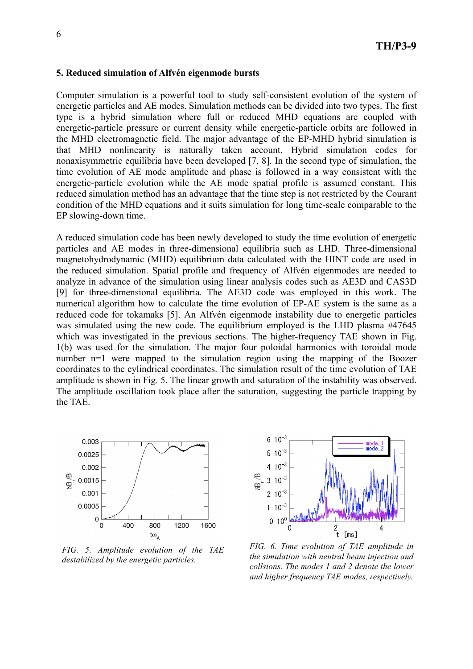#### **5. Reduced simulation of Alfvén eigenmode bursts**

Computer simulation is a powerful tool to study self-consistent evolution of the system of energetic particles and AE modes. Simulation methods can be divided into two types. The first type is a hybrid simulation where full or reduced MHD equations are coupled with energetic-particle pressure or current density while energetic-particle orbits are followed in the MHD electromagnetic field. The major advantage of the EP-MHD hybrid simulation is that MHD nonlinearity is naturally taken account. Hybrid simulation codes for nonaxisymmetric equilibria have been developed [7, 8]. In the second type of simulation, the time evolution of AE mode amplitude and phase is followed in a way consistent with the energetic-particle evolution while the AE mode spatial profile is assumed constant. This reduced simulation method has an advantage that the time step is not restricted by the Courant condition of the MHD equations and it suits simulation for long time-scale comparable to the EP slowing-down time.

A reduced simulation code has been newly developed to study the time evolution of energetic particles and AE modes in three-dimensional equilibria such as LHD. Three-dimensional magnetohydrodynamic (MHD) equilibrium data calculated with the HINT code are used in the reduced simulation. Spatial profile and frequency of Alfvén eigenmodes are needed to analyze in advance of the simulation using linear analysis codes such as AE3D and CAS3D [9] for three-dimensional equilibria. The AE3D code was employed in this work. The numerical algorithm how to calculate the time evolution of EP-AE system is the same as a reduced code for tokamaks [5]. An Alfvén eigenmode instability due to energetic particles was simulated using the new code. The equilibrium employed is the LHD plasma #47645 which was investigated in the previous sections. The higher-frequency TAE shown in Fig. 1(b) was used for the simulation. The major four poloidal harmonics with toroidal mode number n=1 were mapped to the simulation region using the mapping of the Boozer coordinates to the cylindrical coordinates. The simulation result of the time evolution of TAE amplitude is shown in Fig. 5. The linear growth and saturation of the instability was observed. The amplitude oscillation took place after the saturation, suggesting the particle trapping by the TAE.



*FIG. 5. Amplitude evolution of the TAE destabilized by the energetic particles.* 



*the simulation with neutral beam injection and collsions. The modes 1 and 2 denote the lower and higher frequency TAE modes, respectively.*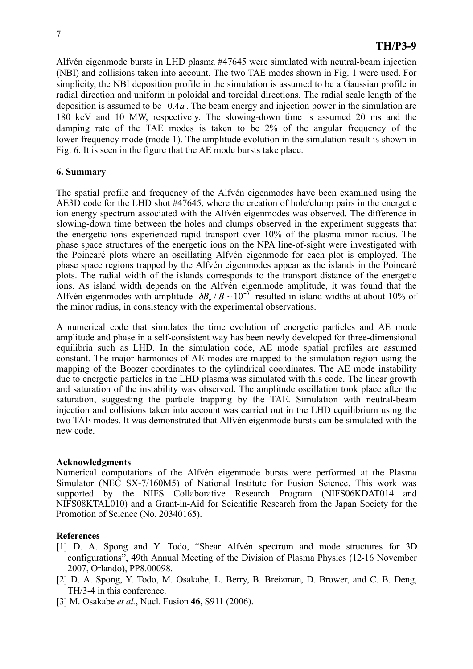Alfvén eigenmode bursts in LHD plasma #47645 were simulated with neutral-beam injection (NBI) and collisions taken into account. The two TAE modes shown in Fig. 1 were used. For simplicity, the NBI deposition profile in the simulation is assumed to be a Gaussian profile in radial direction and uniform in poloidal and toroidal directions. The radial scale length of the deposition is assumed to be  $0.4a$ . The beam energy and injection power in the simulation are 180 keV and 10 MW, respectively. The slowing-down time is assumed 20 ms and the damping rate of the TAE modes is taken to be 2% of the angular frequency of the lower-frequency mode (mode 1). The amplitude evolution in the simulation result is shown in Fig. 6. It is seen in the figure that the AE mode bursts take place.

## **6. Summary**

The spatial profile and frequency of the Alfvén eigenmodes have been examined using the AE3D code for the LHD shot #47645, where the creation of hole/clump pairs in the energetic ion energy spectrum associated with the Alfvén eigenmodes was observed. The difference in slowing-down time between the holes and clumps observed in the experiment suggests that the energetic ions experienced rapid transport over 10% of the plasma minor radius. The phase space structures of the energetic ions on the NPA line-of-sight were investigated with the Poincaré plots where an oscillating Alfvén eigenmode for each plot is employed. The phase space regions trapped by the Alfvén eigenmodes appear as the islands in the Poincaré plots. The radial width of the islands corresponds to the transport distance of the energetic ions. As island width depends on the Alfvén eigenmode amplitude, it was found that the Alfvén eigenmodes with amplitude  $\delta B_z/B \sim 10^{-3}$  resulted in island widths at about 10% of the minor radius, in consistency with the experimental observations.

A numerical code that simulates the time evolution of energetic particles and AE mode amplitude and phase in a self-consistent way has been newly developed for three-dimensional equilibria such as LHD. In the simulation code, AE mode spatial profiles are assumed constant. The major harmonics of AE modes are mapped to the simulation region using the mapping of the Boozer coordinates to the cylindrical coordinates. The AE mode instability due to energetic particles in the LHD plasma was simulated with this code. The linear growth and saturation of the instability was observed. The amplitude oscillation took place after the saturation, suggesting the particle trapping by the TAE. Simulation with neutral-beam injection and collisions taken into account was carried out in the LHD equilibrium using the two TAE modes. It was demonstrated that Alfvén eigenmode bursts can be simulated with the new code.

## **Acknowledgments**

Numerical computations of the Alfvén eigenmode bursts were performed at the Plasma Simulator (NEC SX-7/160M5) of National Institute for Fusion Science. This work was supported by the NIFS Collaborative Research Program (NIFS06KDAT014 and NIFS08KTAL010) and a Grant-in-Aid for Scientific Research from the Japan Society for the Promotion of Science (No. 20340165).

## **References**

- [1] D. A. Spong and Y. Todo, "Shear Alfvén spectrum and mode structures for 3D configurations", 49th Annual Meeting of the Division of Plasma Physics (12-16 November 2007, Orlando), PP8.00098.
- [2] D. A. Spong, Y. Todo, M. Osakabe, L. Berry, B. Breizman, D. Brower, and C. B. Deng, TH/3-4 in this conference.
- [3] M. Osakabe *et al.*, Nucl. Fusion **46**, S911 (2006).